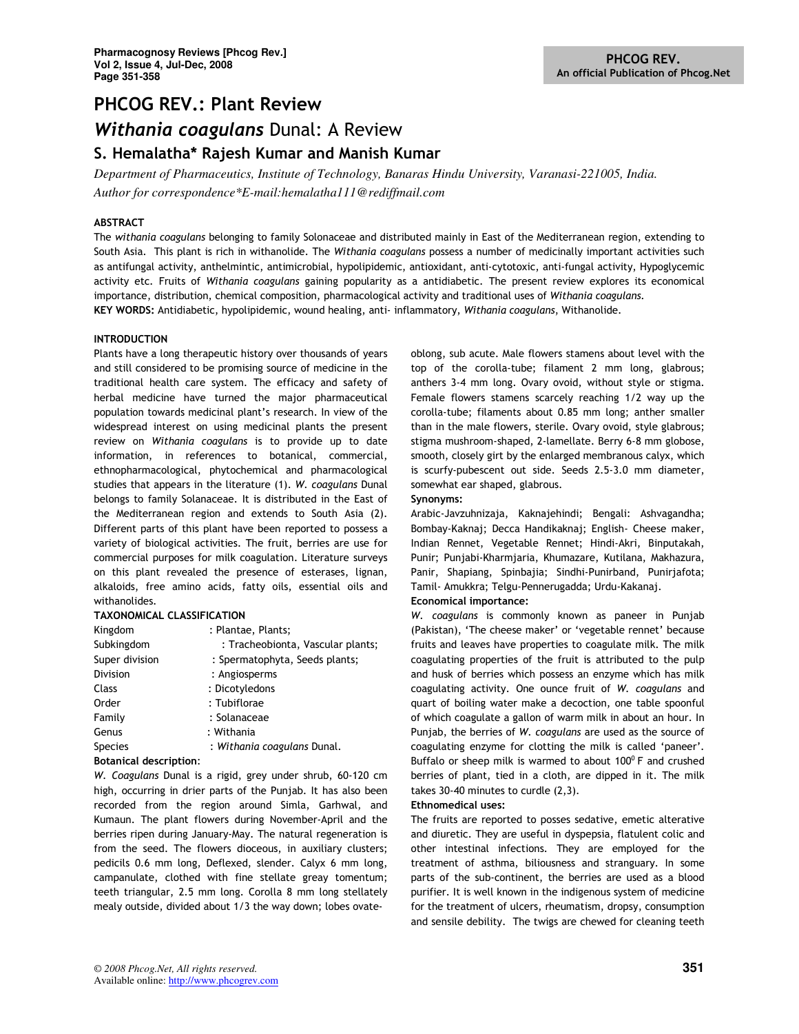# PHCOG REV.: Plant Review Withania coagulans Dunal: A Review

## S. Hemalatha\* Rajesh Kumar and Manish Kumar

*Department of Pharmaceutics, Institute of Technology, Banaras Hindu University, Varanasi-221005, India. Author for correspondence\*E-mail:hemalatha111@rediffmail.com* 

## ABSTRACT

The withania coagulans belonging to family Solonaceae and distributed mainly in East of the Mediterranean region, extending to South Asia. This plant is rich in withanolide. The Withania coagulans possess a number of medicinally important activities such as antifungal activity, anthelmintic, antimicrobial, hypolipidemic, antioxidant, anti-cytotoxic, anti-fungal activity, Hypoglycemic activity etc. Fruits of Withania coagulans gaining popularity as a antidiabetic. The present review explores its economical importance, distribution, chemical composition, pharmacological activity and traditional uses of Withania coagulans. KEY WORDS: Antidiabetic, hypolipidemic, wound healing, anti- inflammatory, Withania coagulans, Withanolide.

## INTRODUCTION

Plants have a long therapeutic history over thousands of years and still considered to be promising source of medicine in the traditional health care system. The efficacy and safety of herbal medicine have turned the major pharmaceutical population towards medicinal plant's research. In view of the widespread interest on using medicinal plants the present review on Withania coagulans is to provide up to date information, in references to botanical, commercial, ethnopharmacological, phytochemical and pharmacological studies that appears in the literature (1). W. coagulans Dunal belongs to family Solanaceae. It is distributed in the East of the Mediterranean region and extends to South Asia (2). Different parts of this plant have been reported to possess a variety of biological activities. The fruit, berries are use for commercial purposes for milk coagulation. Literature surveys on this plant revealed the presence of esterases, lignan, alkaloids, free amino acids, fatty oils, essential oils and withanolides.

## TAXONOMICAL CLASSIFICATION

| Kingdom        | : Plantae, Plants;                |
|----------------|-----------------------------------|
| Subkingdom     | : Tracheobionta, Vascular plants; |
| Super division | : Spermatophyta, Seeds plants;    |
| Division       | : Angiosperms                     |
| Class          | : Dicotyledons                    |
| Order          | : Tubiflorae                      |
| Family         | : Solanaceae                      |
| Genus          | : Withania                        |
| <b>Species</b> | : Withania coagulans Dunal.       |
|                |                                   |

## Botanical description:

W. Coagulans Dunal is a rigid, grey under shrub, 60-120 cm high, occurring in drier parts of the Punjab. It has also been recorded from the region around Simla, Garhwal, and Kumaun. The plant flowers during November-April and the berries ripen during January-May. The natural regeneration is from the seed. The flowers dioceous, in auxiliary clusters; pedicils 0.6 mm long, Deflexed, slender. Calyx 6 mm long, campanulate, clothed with fine stellate greay tomentum; teeth triangular, 2.5 mm long. Corolla 8 mm long stellately mealy outside, divided about 1/3 the way down; lobes ovateoblong, sub acute. Male flowers stamens about level with the top of the corolla-tube; filament 2 mm long, glabrous; anthers 3-4 mm long. Ovary ovoid, without style or stigma. Female flowers stamens scarcely reaching 1/2 way up the corolla-tube; filaments about 0.85 mm long; anther smaller than in the male flowers, sterile. Ovary ovoid, style glabrous; stigma mushroom-shaped, 2-lamellate. Berry 6-8 mm globose, smooth, closely girt by the enlarged membranous calyx, which is scurfy-pubescent out side. Seeds 2.5-3.0 mm diameter, somewhat ear shaped, glabrous.

## Synonyms:

Arabic-Javzuhnizaja, Kaknajehindi; Bengali: Ashvagandha; Bombay-Kaknaj; Decca Handikaknaj; English- Cheese maker, Indian Rennet, Vegetable Rennet; Hindi-Akri, Binputakah, Punir; Punjabi-Kharmjaria, Khumazare, Kutilana, Makhazura, Panir, Shapiang, Spinbajia; Sindhi-Punirband, Punirjafota; Tamil- Amukkra; Telgu-Pennerugadda; Urdu-Kakanaj.

## Economical importance:

W. coagulans is commonly known as paneer in Punjab (Pakistan), 'The cheese maker' or 'vegetable rennet' because fruits and leaves have properties to coagulate milk. The milk coagulating properties of the fruit is attributed to the pulp and husk of berries which possess an enzyme which has milk coagulating activity. One ounce fruit of W. coagulans and quart of boiling water make a decoction, one table spoonful of which coagulate a gallon of warm milk in about an hour. In Punjab, the berries of W. coagulans are used as the source of coagulating enzyme for clotting the milk is called 'paneer'. Buffalo or sheep milk is warmed to about  $100^{\circ}$  F and crushed berries of plant, tied in a cloth, are dipped in it. The milk takes 30-40 minutes to curdle (2,3).

## Ethnomedical uses:

The fruits are reported to posses sedative, emetic alterative and diuretic. They are useful in dyspepsia, flatulent colic and other intestinal infections. They are employed for the treatment of asthma, biliousness and stranguary. In some parts of the sub-continent, the berries are used as a blood purifier. It is well known in the indigenous system of medicine for the treatment of ulcers, rheumatism, dropsy, consumption and sensile debility. The twigs are chewed for cleaning teeth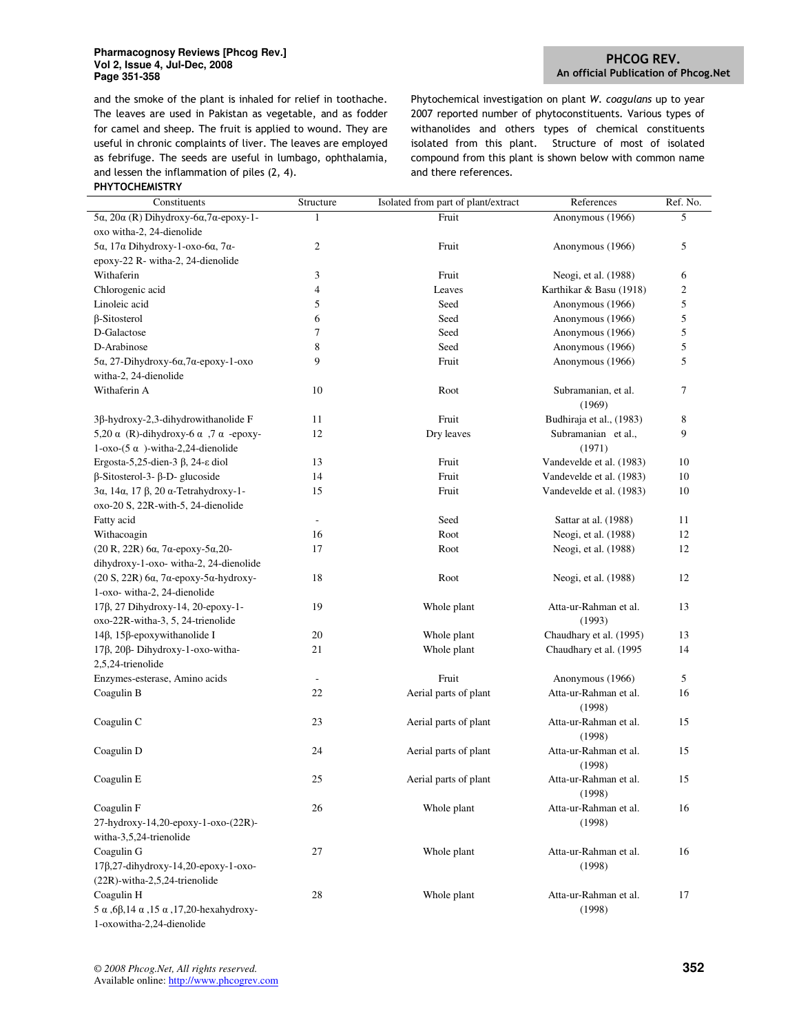and the smoke of the plant is inhaled for relief in toothache. The leaves are used in Pakistan as vegetable, and as fodder for camel and sheep. The fruit is applied to wound. They are useful in chronic complaints of liver. The leaves are employed as febrifuge. The seeds are useful in lumbago, ophthalamia, and lessen the inflammation of piles (2, 4).

PHYTOCHEMISTRY

Phytochemical investigation on plant W. coagulans up to year 2007 reported number of phytoconstituents. Various types of withanolides and others types of chemical constituents isolated from this plant. Structure of most of isolated compound from this plant is shown below with common name and there references.

| Constituents                                                | Structure                | Isolated from part of plant/extract | References                      | Ref. No.         |
|-------------------------------------------------------------|--------------------------|-------------------------------------|---------------------------------|------------------|
| 5α, 20α (R) Dihydroxy-6α, 7α-epoxy-1-                       | 1                        | Fruit                               | Anonymous (1966)                | 5                |
| oxo witha-2, 24-dienolide                                   |                          |                                     |                                 |                  |
| 5α, 17α Dihydroxy-1-οχο-6α, 7α-                             | $\overline{c}$           | Fruit                               | Anonymous (1966)                | 5                |
| epoxy-22 R- witha-2, 24-dienolide                           |                          |                                     |                                 |                  |
| Withaferin                                                  | 3                        | Fruit                               | Neogi, et al. (1988)            | 6                |
| Chlorogenic acid                                            | $\overline{\mathbf{4}}$  | Leaves                              | Karthikar & Basu (1918)         | $\boldsymbol{2}$ |
| Linoleic acid                                               | 5                        | Seed                                | Anonymous (1966)                | 5                |
| $\beta$ -Sitosterol                                         | 6                        | Seed                                | Anonymous (1966)                | 5                |
| D-Galactose                                                 | 7                        | Seed                                | Anonymous (1966)                | 5                |
| D-Arabinose                                                 | 8                        | Seed                                | Anonymous (1966)                | 5                |
| 5α, 27-Dihydroxy-6α, 7α-epoxy-1-οχο                         | 9                        | Fruit                               | Anonymous (1966)                | 5                |
| witha-2, 24-dienolide                                       |                          |                                     |                                 |                  |
| Withaferin A                                                | 10                       | Root                                | Subramanian, et al.             | 7                |
|                                                             |                          |                                     | (1969)                          |                  |
| 3β-hydroxy-2,3-dihydrowithanolide F                         | 11                       | Fruit                               | Budhiraja et al., (1983)        | 8                |
| 5,20 $\alpha$ (R)-dihydroxy-6 $\alpha$ , 7 $\alpha$ -epoxy- | 12                       | Dry leaves                          | Subramanian et al.,             | 9                |
| $1$ -oxo- $(5 \alpha)$ -witha-2,24-dienolide                |                          |                                     | (1971)                          |                  |
| Ergosta-5,25-dien-3 $\beta$ , 24- $\epsilon$ diol           | 13                       | Fruit                               | Vandevelde et al. (1983)        | 10               |
| $\beta$ -Sitosterol-3- $\beta$ -D- glucoside                | 14                       | Fruit                               | Vandevelde et al. (1983)        | 10               |
| $3α$ , 14α, 17 β, 20 α-Tetrahydroxy-1-                      | 15                       | Fruit                               | Vandevelde et al. (1983)        | 10               |
| oxo-20 S, 22R-with-5, 24-dienolide                          |                          |                                     |                                 |                  |
| Fatty acid                                                  | $\overline{\phantom{a}}$ | Seed                                | Sattar at al. (1988)            | 11               |
| Withacoagin                                                 | 16                       | Root                                | Neogi, et al. (1988)            | 12               |
| $(20 R, 22R)$ 6α, 7α-epoxy-5α, 20-                          | 17                       | Root                                | Neogi, et al. (1988)            | 12               |
| dihydroxy-1-oxo- witha-2, 24-dienolide                      |                          |                                     |                                 |                  |
| $(20 S, 22 R)$ 6α, 7α-epoxy-5α-hydroxy-                     | 18                       | Root                                | Neogi, et al. (1988)            | 12               |
| 1-oxo- witha-2, 24-dienolide                                |                          |                                     |                                 |                  |
| 17β, 27 Dihydroxy-14, 20-epoxy-1-                           | 19                       | Whole plant                         | Atta-ur-Rahman et al.           | 13               |
| oxo-22R-witha-3, 5, 24-trienolide                           |                          |                                     |                                 |                  |
|                                                             |                          |                                     | (1993)                          |                  |
| 14β, 15β-epoxywithanolide I                                 | 20<br>21                 | Whole plant                         | Chaudhary et al. (1995)         | 13               |
| 17β, 20β-Dihydroxy-1-oxo-witha-                             |                          | Whole plant                         | Chaudhary et al. (1995          | 14               |
| 2,5,24-trienolide                                           |                          |                                     |                                 |                  |
| Enzymes-esterase, Amino acids                               |                          | Fruit                               | Anonymous (1966)                | 5                |
| Coagulin B                                                  | 22                       | Aerial parts of plant               | Atta-ur-Rahman et al.<br>(1998) | 16               |
| Coagulin C                                                  | 23                       | Aerial parts of plant               | Atta-ur-Rahman et al.           | 15               |
|                                                             |                          |                                     | (1998)                          |                  |
| Coagulin D                                                  | 24                       | Aerial parts of plant               | Atta-ur-Rahman et al.<br>(1998) | 15               |
| Coagulin E                                                  | 25                       | Aerial parts of plant               | Atta-ur-Rahman et al.           | 15               |
|                                                             |                          |                                     | (1998)                          |                  |
| Coagulin F                                                  | 26                       | Whole plant                         | Atta-ur-Rahman et al.           | 16               |
| 27-hydroxy-14,20-epoxy-1-oxo-(22R)-                         |                          |                                     | (1998)                          |                  |
| witha-3,5,24-trienolide                                     |                          |                                     |                                 |                  |
| Coagulin G                                                  | 27                       | Whole plant                         | Atta-ur-Rahman et al.           | 16               |
| 17β,27-dihydroxy-14,20-epoxy-1-oxo-                         |                          |                                     | (1998)                          |                  |
| (22R)-witha-2,5,24-trienolide                               |                          |                                     |                                 |                  |
| Coagulin H                                                  | 28                       | Whole plant                         | Atta-ur-Rahman et al.           | 17               |
| 5 α, 6β, 14 α, 15 α, 17, 20-hexahydroxy-                    |                          |                                     | (1998)                          |                  |
|                                                             |                          |                                     |                                 |                  |

1-oxowitha-2,24-dienolide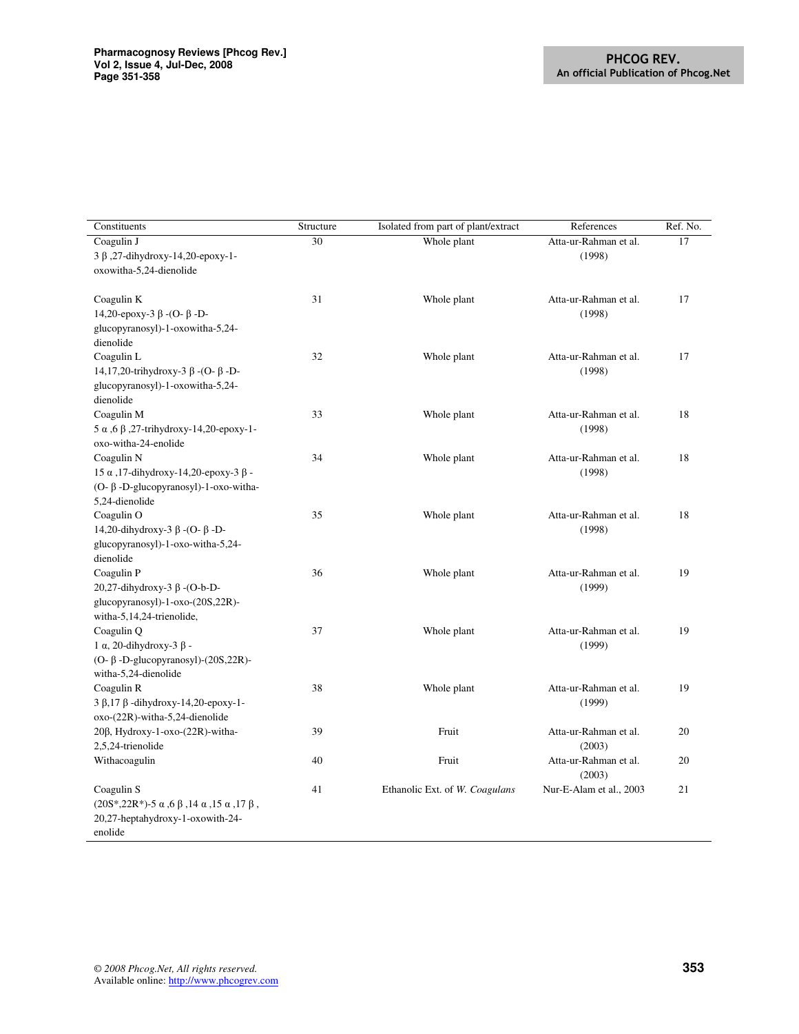| Constituents                                                                           | Structure | Isolated from part of plant/extract | References              | Ref. No. |
|----------------------------------------------------------------------------------------|-----------|-------------------------------------|-------------------------|----------|
| Coagulin J                                                                             | 30        | Whole plant                         | Atta-ur-Rahman et al.   | 17       |
| 3 β, 27-dihydroxy-14, 20-epoxy-1-                                                      |           |                                     | (1998)                  |          |
| oxowitha-5,24-dienolide                                                                |           |                                     |                         |          |
|                                                                                        |           |                                     |                         |          |
| Coagulin K                                                                             | 31        | Whole plant                         | Atta-ur-Rahman et al.   | 17       |
| 14,20-epoxy-3 β - (Ο- β - D-                                                           |           |                                     | (1998)                  |          |
| glucopyranosyl)-1-oxowitha-5,24-                                                       |           |                                     |                         |          |
| dienolide                                                                              |           |                                     |                         |          |
| Coagulin L                                                                             | 32        | Whole plant                         | Atta-ur-Rahman et al.   | 17       |
| 14,17,20-trihydroxy-3 β - (Ο- β - D-                                                   |           |                                     | (1998)                  |          |
| glucopyranosyl)-1-oxowitha-5,24-                                                       |           |                                     |                         |          |
| dienolide                                                                              |           |                                     |                         |          |
| Coagulin M                                                                             | 33        | Whole plant                         | Atta-ur-Rahman et al.   | 18       |
| 5 α, 6 β, 27-trihydroxy-14, 20-epoxy-1-                                                |           |                                     | (1998)                  |          |
| oxo-witha-24-enolide                                                                   |           |                                     |                         |          |
| Coagulin N                                                                             | 34        | Whole plant                         | Atta-ur-Rahman et al.   | 18       |
| 15 α, 17-dihydroxy-14,20-epoxy-3 β -                                                   |           |                                     | (1998)                  |          |
| (Ο- $β$ -D-glucopyranosyl)-1-oxo-witha-                                                |           |                                     |                         |          |
| 5,24-dienolide                                                                         |           |                                     |                         |          |
| Coagulin O                                                                             | 35        | Whole plant                         | Atta-ur-Rahman et al.   | 18       |
| 14,20-dihydroxy-3 $\beta$ -(O- $\beta$ -D-                                             |           |                                     | (1998)                  |          |
| glucopyranosyl)-1-oxo-witha-5,24-                                                      |           |                                     |                         |          |
| dienolide                                                                              |           |                                     |                         |          |
| Coagulin P                                                                             | 36        | Whole plant                         | Atta-ur-Rahman et al.   | 19       |
| 20,27-dihydroxy-3 $\beta$ -(O-b-D-                                                     |           |                                     | (1999)                  |          |
| glucopyranosyl)-1-oxo-(20S,22R)-                                                       |           |                                     |                         |          |
| witha-5,14,24-trienolide,                                                              |           |                                     |                         |          |
| Coagulin Q                                                                             | 37        | Whole plant                         | Atta-ur-Rahman et al.   | 19       |
| 1 α, 20-dihydroxy-3 $β$ -                                                              |           |                                     | (1999)                  |          |
| (O- $\beta$ -D-glucopyranosyl)-(20S,22R)-                                              |           |                                     |                         |          |
| witha-5,24-dienolide                                                                   |           |                                     |                         |          |
| Coagulin R                                                                             | 38        | Whole plant                         | Atta-ur-Rahman et al.   | 19       |
| 3 β,17 β - dihydroxy-14,20-epoxy-1-                                                    |           |                                     | (1999)                  |          |
| oxo-(22R)-witha-5,24-dienolide                                                         |           |                                     |                         |          |
| 20β, Hydroxy-1-oxo-(22R)-witha-                                                        | 39        | Fruit                               | Atta-ur-Rahman et al.   | 20       |
| 2,5,24-trienolide                                                                      |           |                                     | (2003)                  |          |
| Withacoagulin                                                                          | 40        | Fruit                               | Atta-ur-Rahman et al.   | 20       |
|                                                                                        |           |                                     | (2003)                  |          |
| Coagulin S                                                                             | 41        | Ethanolic Ext. of W. Coagulans      | Nur-E-Alam et al., 2003 | 21       |
| $(20S^*$ , $22R^*$ )-5 $\alpha$ , 6 $\beta$ , 14 $\alpha$ , 15 $\alpha$ , 17 $\beta$ , |           |                                     |                         |          |
| 20,27-heptahydroxy-1-oxowith-24-                                                       |           |                                     |                         |          |
| enolide                                                                                |           |                                     |                         |          |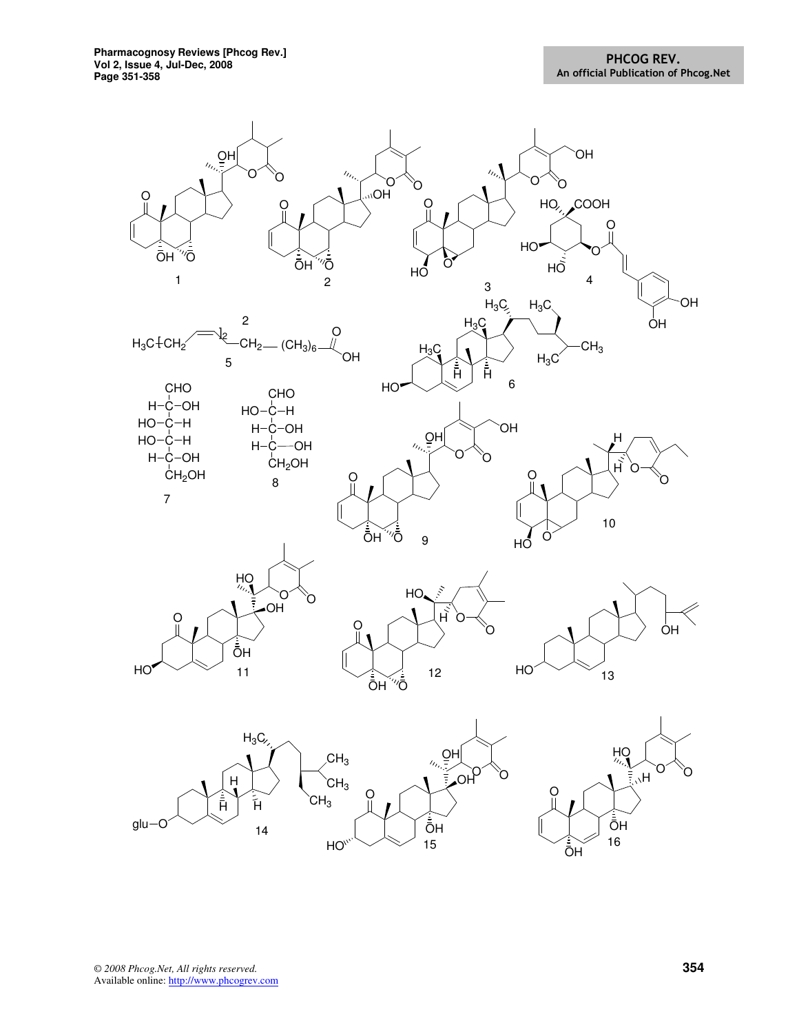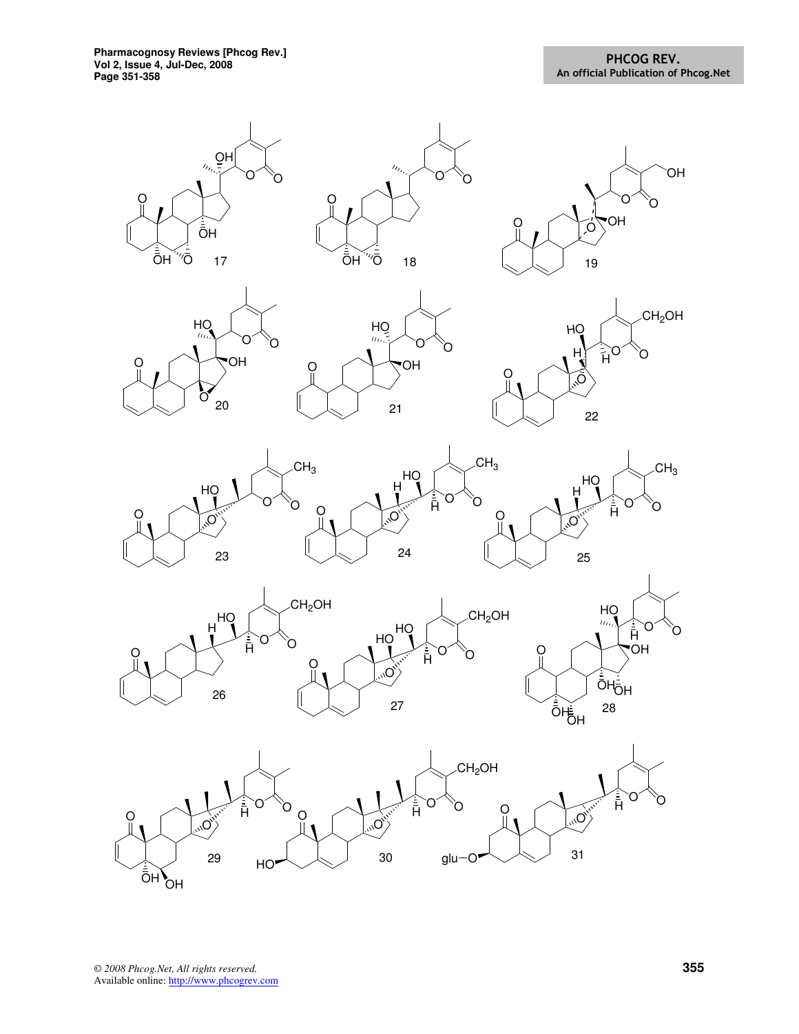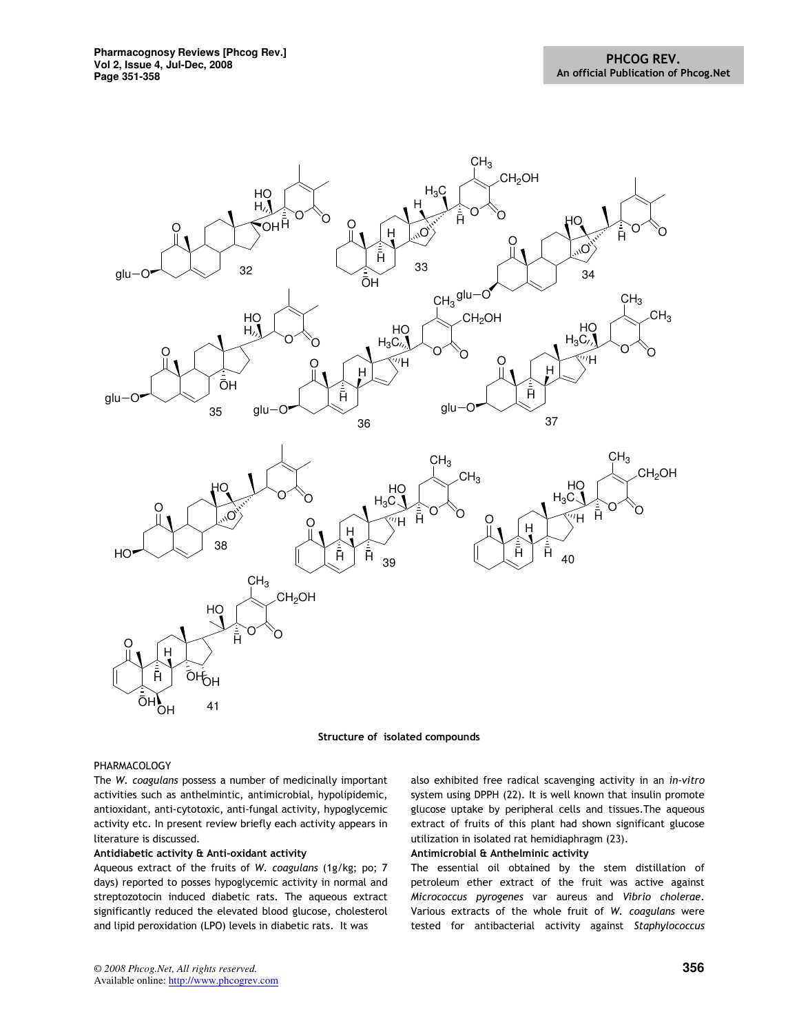

### Structure of isolated compounds

## PHARMACOLOGY

The W. coagulans possess a number of medicinally important activities such as anthelmintic, antimicrobial, hypolipidemic, antioxidant, anti-cytotoxic, anti-fungal activity, hypoglycemic activity etc. In present review briefly each activity appears in literature is discussed.

## Antidiabetic activity & Anti-oxidant activity

Aqueous extract of the fruits of W. coagulans (1g/kg; po; 7 days) reported to posses hypoglycemic activity in normal and streptozotocin induced diabetic rats. The aqueous extract significantly reduced the elevated blood glucose, cholesterol and lipid peroxidation (LPO) levels in diabetic rats. It was

also exhibited free radical scavenging activity in an in-vitro system using DPPH (22). It is well known that insulin promote glucose uptake by peripheral cells and tissues.The aqueous extract of fruits of this plant had shown significant glucose utilization in isolated rat hemidiaphragm (23).

## Antimicrobial & Anthelminic activity

The essential oil obtained by the stem distillation of petroleum ether extract of the fruit was active against Micrococcus pyrogenes var aureus and Vibrio cholerae. Various extracts of the whole fruit of W. coagulans were tested for antibacterial activity against Staphylococcus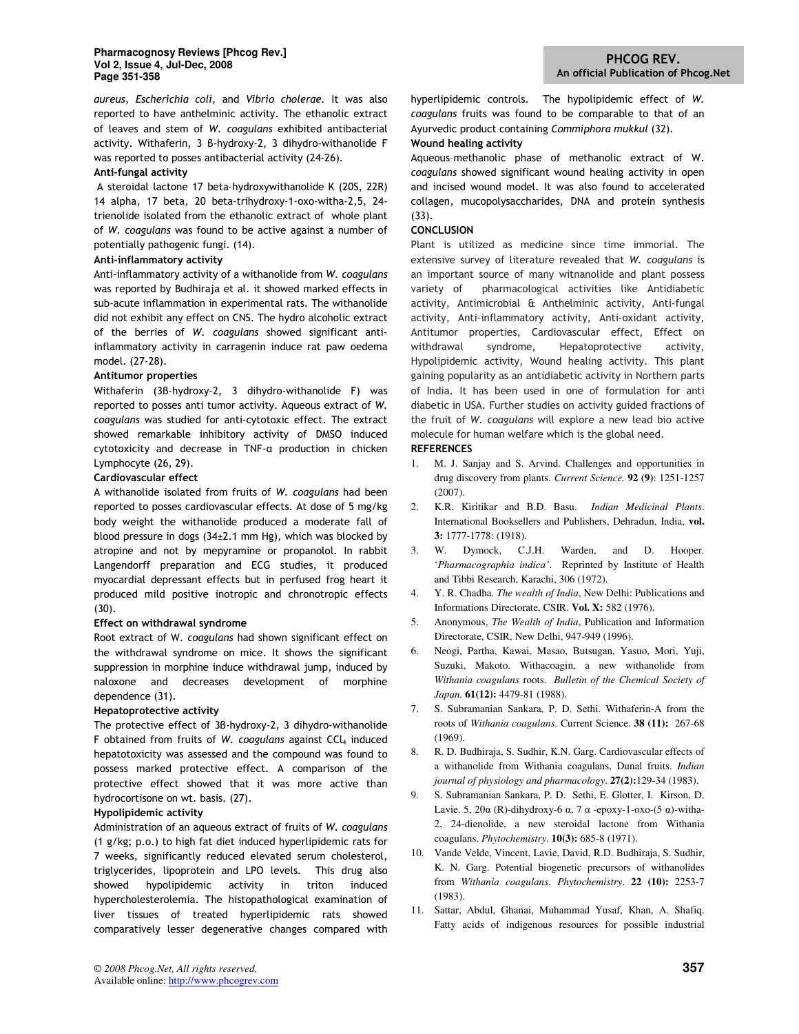aureus, Escherichia coli, and Vibrio cholerae. It was also reported to have anthelminic activity. The ethanolic extract of leaves and stem of W. coagulans exhibited antibacterial activity. Withaferin, 3 β-hydroxy-2, 3 dihydro-withanolide F was reported to posses antibacterial activity (24-26).

## Anti-fungal activity

 A steroidal lactone 17 beta-hydroxywithanolide K (20S, 22R) 14 alpha, 17 beta, 20 beta-trihydroxy-1-oxo-witha-2,5, 24 trienolide isolated from the ethanolic extract of whole plant of W. coagulans was found to be active against a number of potentially pathogenic fungi. (14).

## Anti-inflammatory activity

Anti-inflammatory activity of a withanolide from W. coagulans was reported by Budhiraja et al. it showed marked effects in sub-acute inflammation in experimental rats. The withanolide did not exhibit any effect on CNS. The hydro alcoholic extract of the berries of W. coagulans showed significant antiinflammatory activity in carragenin induce rat paw oedema model. (27-28).

## Antitumor properties

Withaferin (3B-hydroxy-2, 3 dihydro-withanolide F) was reported to posses anti tumor activity. Aqueous extract of W. coagulans was studied for anti-cytotoxic effect. The extract showed remarkable inhibitory activity of DMSO induced cytotoxicity and decrease in TNF-α production in chicken Lymphocyte (26, 29).

#### Cardiovascular effect

A withanolide isolated from fruits of W. coagulans had been reported to posses cardiovascular effects. At dose of 5 mg/kg body weight the withanolide produced a moderate fall of blood pressure in dogs (34±2.1 mm Hg), which was blocked by atropine and not by mepyramine or propanolol. In rabbit Langendorff preparation and ECG studies, it produced myocardial depressant effects but in perfused frog heart it produced mild positive inotropic and chronotropic effects (30).

#### Effect on withdrawal syndrome

Root extract of W. coagulans had shown significant effect on the withdrawal syndrome on mice. It shows the significant suppression in morphine induce withdrawal jump, induced by naloxone and decreases development of morphine dependence (31).

## Hepatoprotective activity

The protective effect of 3β-hydroxy-2, 3 dihydro-withanolide F obtained from fruits of W. coagulans against  $CCL<sub>4</sub>$  induced hepatotoxicity was assessed and the compound was found to possess marked protective effect. A comparison of the protective effect showed that it was more active than hydrocortisone on wt. basis. (27).

## Hypolipidemic activity

Administration of an aqueous extract of fruits of W. coagulans (1 g/kg; p.o.) to high fat diet induced hyperlipidemic rats for 7 weeks, significantly reduced elevated serum cholesterol, triglycerides, lipoprotein and LPO levels. This drug also showed hypolipidemic activity in triton induced hypercholesterolemia. The histopathological examination of liver tissues of treated hyperlipidemic rats showed comparatively lesser degenerative changes compared with hyperlipidemic controls. The hypolipidemic effect of W. coagulans fruits was found to be comparable to that of an Ayurvedic product containing Commiphora mukkul (32).

## Wound healing activity

Aqueous–methanolic phase of methanolic extract of W. coagulans showed significant wound healing activity in open and incised wound model. It was also found to accelerated collagen, mucopolysaccharides, DNA and protein synthesis (33).

#### CONCLUSION

Plant is utilized as medicine since time immorial. The extensive survey of literature revealed that W. coagulans is an important source of many witnanolide and plant possess variety of pharmacological activities like Antidiabetic activity, Antimicrobial & Anthelminic activity, Anti-fungal activity, Anti-inflammatory activity, Anti-oxidant activity, Antitumor properties, Cardiovascular effect, Effect on withdrawal syndrome, Hepatoprotective activity, Hypolipidemic activity, Wound healing activity. This plant gaining popularity as an antidiabetic activity in Northern parts of India. It has been used in one of formulation for anti diabetic in USA. Further studies on activity guided fractions of the fruit of W. coagulans will explore a new lead bio active molecule for human welfare which is the global need.

#### **REFERENCES**

- 1. M. J. Sanjay and S. Arvind. Challenges and opportunities in drug discovery from plants. *Current Science.* **92 (9)**: 1251-1257 (2007).
- 2. K.R. Kiritikar and B.D. Basu. *Indian Medicinal Plants*. International Booksellers and Publishers, Dehradun, India, **vol. 3:** 1777-1778: (1918).
- 3. W. Dymock, C.J.H. Warden, and D. Hooper. '*Pharmacographia indica'*. Reprinted by Institute of Health and Tibbi Research, Karachi, 306 (1972).
- 4. Y. R. Chadha. *The wealth of India*, New Delhi: Publications and Informations Directorate, CSIR. **Vol. X:** 582 (1976).
- 5. Anonymous, *The Wealth of India*, Publication and Information Directorate, CSIR, New Delhi, 947-949 (1996).
- 6. Neogi, Partha, Kawai, Masao, Butsugan, Yasuo, Mori, Yuji, Suzuki, Makoto. Withacoagin, a new withanolide from *Withania coagulans* roots. *Bulletin of the Chemical Society of Japan.* **61(12):** 4479-81 (1988).
- 7. S. Subramanian Sankara, P. D. Sethi. Withaferin-A from the roots of *Withania coagulans*. Current Science. **38 (11):** 267-68 (1969).
- 8. R. D. Budhiraja, S. Sudhir, K.N. Garg. Cardiovascular effects of a withanolide from Withania coagulans, Dunal fruits. *Indian journal of physiology and pharmacology*. **27(2):**129-34 (1983).
- 9. S. Subramanian Sankara, P. D. Sethi, E. Glotter, I. Kirson, D. Lavie. 5, 20α (R)-dihydroxy-6 α, 7 α -epoxy-1-oxo-(5 α)-witha-2, 24-dienolide, a new steroidal lactone from Withania coagulans. *Phytochemistry*. **10(3):** 685-8 (1971).
- 10. Vande Velde, Vincent, Lavie, David, R.D. Budhiraja, S. Sudhir, K. N. Garg. Potential biogenetic precursors of withanolides from *Withania coagulans*. *Phytochemistry*. **22 (10):** 2253-7 (1983).
- 11. Sattar, Abdul, Ghanai, Muhammad Yusaf, Khan, A. Shafiq. Fatty acids of indigenous resources for possible industrial